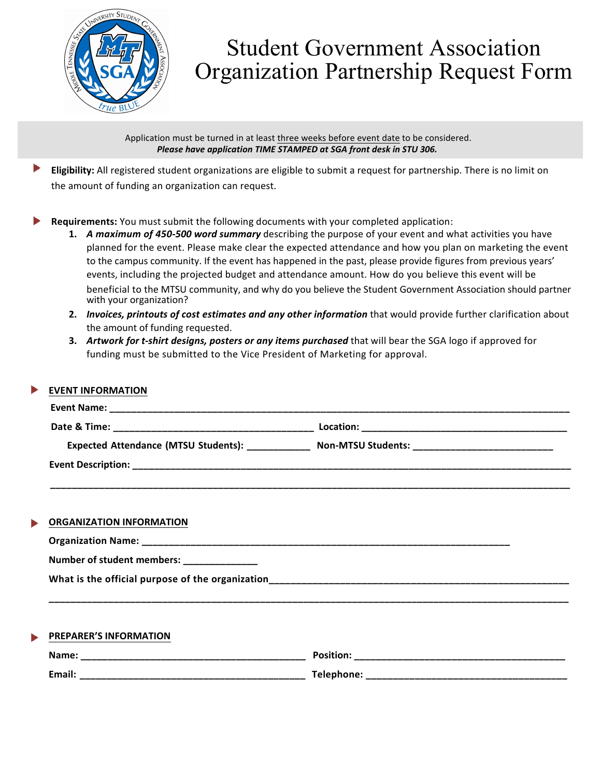

## Student Government Association Organization Partnership Request Form

Application must be turned in at least three weeks before event date to be considered. *Please have application TIME STAMPED at SGA front desk in STU 306.* 

- Eligibility: All registered student organizations are eligible to submit a request for partnership. There is no limit on the amount of funding an organization can request.
- **Requirements:** You must submit the following documents with your completed application:
	- **1.** A maximum of 450-500 word summary describing the purpose of your event and what activities you have planned for the event. Please make clear the expected attendance and how you plan on marketing the event to the campus community. If the event has happened in the past, please provide figures from previous years' events, including the projected budget and attendance amount. How do you believe this event will be beneficial to the MTSU community, and why do you believe the Student Government Association should partner with your organization?
	- **2.** *Invoices, printouts of cost estimates and any other information* that would provide further clarification about the amount of funding requested.
	- **3.** *Artwork for t-shirt designs, posters or any items purchased* that will bear the SGA logo if approved for funding must be submitted to the Vice President of Marketing for approval.

| <b>EVENT INFORMATION</b>                  |                                                                                                     |
|-------------------------------------------|-----------------------------------------------------------------------------------------------------|
|                                           |                                                                                                     |
|                                           |                                                                                                     |
|                                           | Expected Attendance (MTSU Students): _______________ Non-MTSU Students: ___________________________ |
|                                           |                                                                                                     |
|                                           |                                                                                                     |
|                                           |                                                                                                     |
| <b>ORGANIZATION INFORMATION</b>           |                                                                                                     |
|                                           |                                                                                                     |
| Number of student members: ______________ |                                                                                                     |
|                                           |                                                                                                     |
|                                           |                                                                                                     |
|                                           |                                                                                                     |
| PREPARER'S INFORMATION                    |                                                                                                     |
|                                           |                                                                                                     |
|                                           |                                                                                                     |
|                                           |                                                                                                     |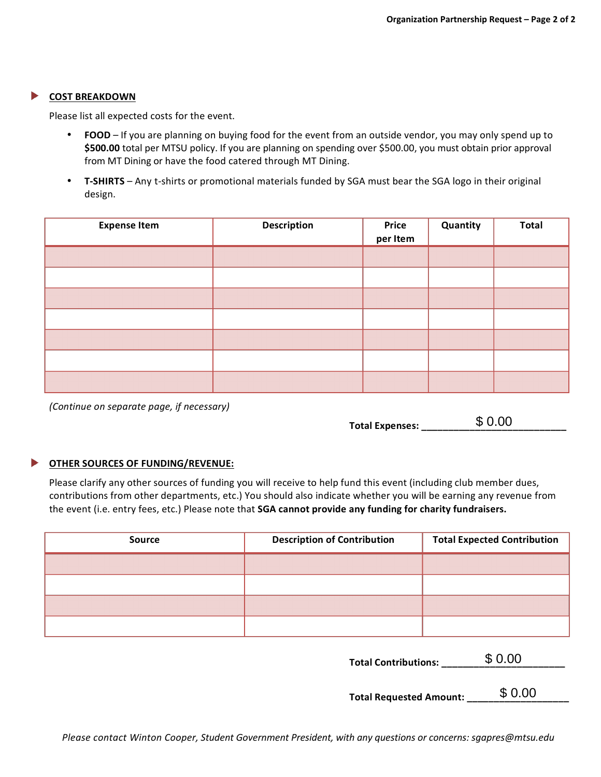## **COST BREAKDOWN**

Please list all expected costs for the event.

- **FOOD** If you are planning on buying food for the event from an outside vendor, you may only spend up to \$500.00 total per MTSU policy. If you are planning on spending over \$500.00, you must obtain prior approval from MT Dining or have the food catered through MT Dining.
- **T-SHIRTS** Any t-shirts or promotional materials funded by SGA must bear the SGA logo in their original design.

| <b>Expense Item</b> | <b>Description</b> | Price<br>per Item | Quantity | <b>Total</b> |
|---------------------|--------------------|-------------------|----------|--------------|
|                     |                    |                   |          |              |
|                     |                    |                   |          |              |
|                     |                    |                   |          |              |
|                     |                    |                   |          |              |
|                     |                    |                   |          |              |
|                     |                    |                   |          |              |
|                     |                    |                   |          |              |

*(Continue on separate page, if necessary)* 

| Total Expenses: | \$0.00 |
|-----------------|--------|
|                 |        |

## ▶ **OTHER SOURCES OF FUNDING/REVENUE:**

Please clarify any other sources of funding you will receive to help fund this event (including club member dues, contributions from other departments, etc.) You should also indicate whether you will be earning any revenue from the event (i.e. entry fees, etc.) Please note that SGA cannot provide any funding for charity fundraisers.

| <b>Source</b> | <b>Description of Contribution</b> | <b>Total Expected Contribution</b> |
|---------------|------------------------------------|------------------------------------|
|               |                                    |                                    |
|               |                                    |                                    |
|               |                                    |                                    |
|               |                                    |                                    |

**Total Contributions: \_\_\_\_\_\_\_\_\_\_\_\_\_\_\_\_\_\_\_\_\_\_\_** \$ 0.00

**Total Requested Amount: \_\_\_\_\_\_\_\_\_\_\_\_\_\_\_\_\_\_\_** \$ 0.00